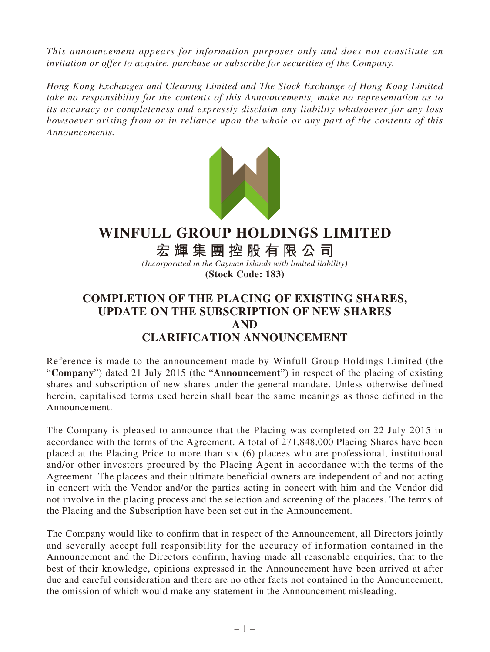*This announcement appears for information purposes only and does not constitute an invitation or offer to acquire, purchase or subscribe for securities of the Company.*

*Hong Kong Exchanges and Clearing Limited and The Stock Exchange of Hong Kong Limited take no responsibility for the contents of this Announcements, make no representation as to its accuracy or completeness and expressly disclaim any liability whatsoever for any loss howsoever arising from or in reliance upon the whole or any part of the contents of this Announcements.*



## **WINFULL GROUP HOLDINGS LIMITED**

## **宏輝集團控股有限公司**

*(Incorporated in the Cayman Islands with limited liability)* **(Stock Code: 183)**

## **COMPLETION OF THE PLACING OF EXISTING SHARES, UPDATE ON THE SUBSCRIPTION OF NEW SHARES AND CLARIFICATION ANNOUNCEMENT**

Reference is made to the announcement made by Winfull Group Holdings Limited (the "**Company**") dated 21 July 2015 (the "**Announcement**") in respect of the placing of existing shares and subscription of new shares under the general mandate. Unless otherwise defined herein, capitalised terms used herein shall bear the same meanings as those defined in the Announcement.

The Company is pleased to announce that the Placing was completed on 22 July 2015 in accordance with the terms of the Agreement. A total of 271,848,000 Placing Shares have been placed at the Placing Price to more than six (6) placees who are professional, institutional and/or other investors procured by the Placing Agent in accordance with the terms of the Agreement. The placees and their ultimate beneficial owners are independent of and not acting in concert with the Vendor and/or the parties acting in concert with him and the Vendor did not involve in the placing process and the selection and screening of the placees. The terms of the Placing and the Subscription have been set out in the Announcement.

The Company would like to confirm that in respect of the Announcement, all Directors jointly and severally accept full responsibility for the accuracy of information contained in the Announcement and the Directors confirm, having made all reasonable enquiries, that to the best of their knowledge, opinions expressed in the Announcement have been arrived at after due and careful consideration and there are no other facts not contained in the Announcement, the omission of which would make any statement in the Announcement misleading.